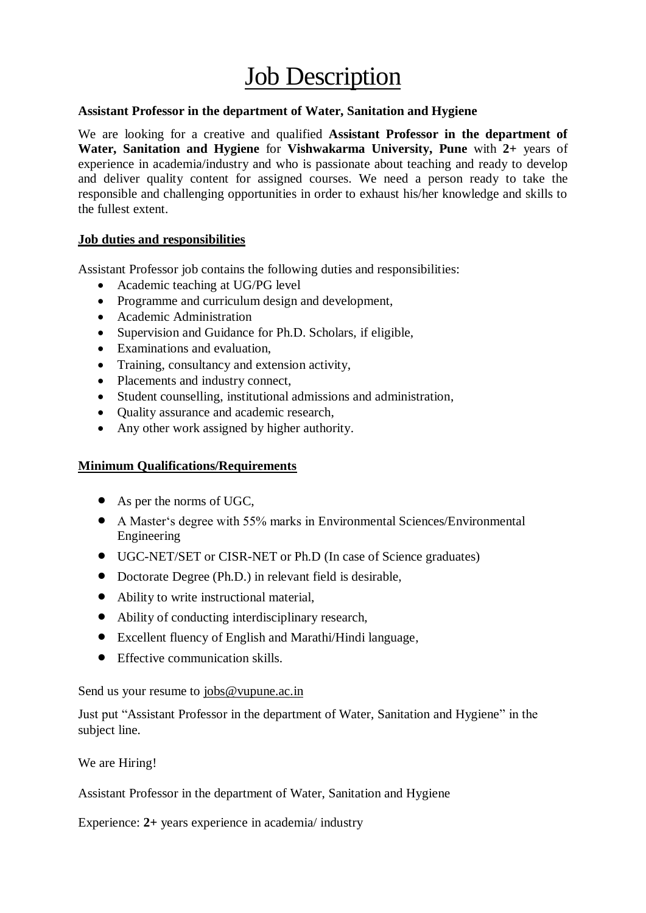## **Job Description**

## **Assistant Professor in the department of Water, Sanitation and Hygiene**

We are looking for a creative and qualified **Assistant Professor in the department of Water, Sanitation and Hygiene** for **Vishwakarma University, Pune** with **2+** years of experience in academia/industry and who is passionate about teaching and ready to develop and deliver quality content for assigned courses. We need a person ready to take the responsible and challenging opportunities in order to exhaust his/her knowledge and skills to the fullest extent.

## **Job duties and responsibilities**

Assistant Professor job contains the following duties and responsibilities:

- Academic teaching at UG/PG level
- Programme and curriculum design and development,
- Academic Administration
- Supervision and Guidance for Ph.D. Scholars, if eligible,
- Examinations and evaluation,
- Training, consultancy and extension activity,
- Placements and industry connect,
- Student counselling, institutional admissions and administration,
- Ouality assurance and academic research,
- Any other work assigned by higher authority.

## **Minimum Qualifications/Requirements**

- As per the norms of UGC,
- A Master's degree with 55% marks in Environmental Sciences/Environmental Engineering
- UGC-NET/SET or CISR-NET or Ph.D (In case of Science graduates)
- Doctorate Degree (Ph.D.) in relevant field is desirable,
- Ability to write instructional material,
- Ability of conducting interdisciplinary research,
- Excellent fluency of English and Marathi/Hindi language,
- Effective communication skills.

Send us your resume to [jobs@vupune.ac.in](mailto:jobs@vupune.ac.in)

Just put "Assistant Professor in the department of Water, Sanitation and Hygiene" in the subject line.

We are Hiring!

Assistant Professor in the department of Water, Sanitation and Hygiene

Experience: **2+** years experience in academia/ industry